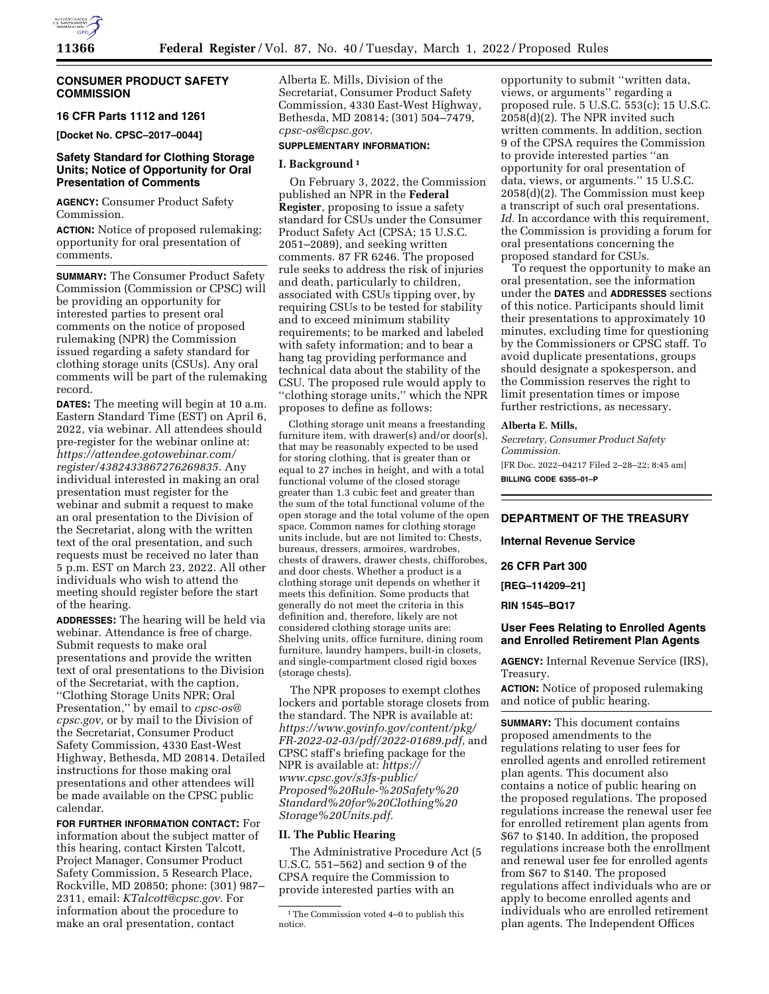

# **CONSUMER PRODUCT SAFETY COMMISSION**

## **16 CFR Parts 1112 and 1261**

**[Docket No. CPSC–2017–0044]** 

# **Safety Standard for Clothing Storage Units; Notice of Opportunity for Oral Presentation of Comments**

**AGENCY:** Consumer Product Safety Commission.

**ACTION:** Notice of proposed rulemaking; opportunity for oral presentation of comments.

**SUMMARY:** The Consumer Product Safety Commission (Commission or CPSC) will be providing an opportunity for interested parties to present oral comments on the notice of proposed rulemaking (NPR) the Commission issued regarding a safety standard for clothing storage units (CSUs). Any oral comments will be part of the rulemaking record.

**DATES:** The meeting will begin at 10 a.m. Eastern Standard Time (EST) on April 6, 2022, via webinar. All attendees should pre-register for the webinar online at: *[https://attendee.gotowebinar.com/](https://attendee.gotowebinar.com/register/4382433867276269835)  [register/4382433867276269835.](https://attendee.gotowebinar.com/register/4382433867276269835)* Any individual interested in making an oral presentation must register for the webinar and submit a request to make an oral presentation to the Division of the Secretariat, along with the written text of the oral presentation, and such requests must be received no later than 5 p.m. EST on March 23, 2022. All other individuals who wish to attend the meeting should register before the start of the hearing.

**ADDRESSES:** The hearing will be held via webinar. Attendance is free of charge. Submit requests to make oral presentations and provide the written text of oral presentations to the Division of the Secretariat, with the caption, ''Clothing Storage Units NPR; Oral Presentation,'' by email to *[cpsc-os@](mailto:cpsc-os@cpsc.gov) [cpsc.gov,](mailto:cpsc-os@cpsc.gov)* or by mail to the Division of the Secretariat, Consumer Product Safety Commission, 4330 East-West Highway, Bethesda, MD 20814. Detailed instructions for those making oral presentations and other attendees will be made available on the CPSC public calendar.

**FOR FURTHER INFORMATION CONTACT:** For information about the subject matter of this hearing, contact Kirsten Talcott, Project Manager, Consumer Product Safety Commission, 5 Research Place, Rockville, MD 20850; phone: (301) 987– 2311, email: *[KTalcott@cpsc.gov.](mailto:KTalcott@cpsc.gov)* For information about the procedure to make an oral presentation, contact

Alberta E. Mills, Division of the Secretariat, Consumer Product Safety Commission, 4330 East-West Highway, Bethesda, MD 20814; (301) 504–7479, *[cpsc-os@cpsc.gov.](mailto:cpsc-os@cpsc.gov)* 

# **SUPPLEMENTARY INFORMATION:**

# **I. Background 1**

On February 3, 2022, the Commission published an NPR in the **Federal Register**, proposing to issue a safety standard for CSUs under the Consumer Product Safety Act (CPSA; 15 U.S.C. 2051–2089), and seeking written comments. 87 FR 6246. The proposed rule seeks to address the risk of injuries and death, particularly to children, associated with CSUs tipping over, by requiring CSUs to be tested for stability and to exceed minimum stability requirements; to be marked and labeled with safety information; and to bear a hang tag providing performance and technical data about the stability of the CSU. The proposed rule would apply to ''clothing storage units,'' which the NPR proposes to define as follows:

Clothing storage unit means a freestanding furniture item, with drawer(s) and/or door(s), that may be reasonably expected to be used for storing clothing, that is greater than or equal to 27 inches in height, and with a total functional volume of the closed storage greater than 1.3 cubic feet and greater than the sum of the total functional volume of the open storage and the total volume of the open space. Common names for clothing storage units include, but are not limited to: Chests, bureaus, dressers, armoires, wardrobes, chests of drawers, drawer chests, chifforobes, and door chests. Whether a product is a clothing storage unit depends on whether it meets this definition. Some products that generally do not meet the criteria in this definition and, therefore, likely are not considered clothing storage units are: Shelving units, office furniture, dining room furniture, laundry hampers, built-in closets, and single-compartment closed rigid boxes (storage chests).

The NPR proposes to exempt clothes lockers and portable storage closets from the standard. The NPR is available at: *[https://www.govinfo.gov/content/pkg/](https://www.govinfo.gov/content/pkg/FR-2022-02-03/pdf/2022-01689.pdf) [FR-2022-02-03/pdf/2022-01689.pdf,](https://www.govinfo.gov/content/pkg/FR-2022-02-03/pdf/2022-01689.pdf)* and CPSC staff's briefing package for the NPR is available at: *[https://](https://www.cpsc.gov/s3fs-public/Proposed%20Rule-%20Safety%20Standard%20for%20Clothing%20Storage%20Units.pdf) [www.cpsc.gov/s3fs-public/](https://www.cpsc.gov/s3fs-public/Proposed%20Rule-%20Safety%20Standard%20for%20Clothing%20Storage%20Units.pdf) [Proposed%20Rule-%20Safety%20](https://www.cpsc.gov/s3fs-public/Proposed%20Rule-%20Safety%20Standard%20for%20Clothing%20Storage%20Units.pdf) [Standard%20for%20Clothing%20](https://www.cpsc.gov/s3fs-public/Proposed%20Rule-%20Safety%20Standard%20for%20Clothing%20Storage%20Units.pdf) [Storage%20Units.pdf.](https://www.cpsc.gov/s3fs-public/Proposed%20Rule-%20Safety%20Standard%20for%20Clothing%20Storage%20Units.pdf)* 

## **II. The Public Hearing**

The Administrative Procedure Act (5 U.S.C. 551–562) and section 9 of the CPSA require the Commission to provide interested parties with an

opportunity to submit ''written data, views, or arguments'' regarding a proposed rule. 5 U.S.C. 553(c); 15 U.S.C. 2058(d)(2). The NPR invited such written comments. In addition, section 9 of the CPSA requires the Commission to provide interested parties ''an opportunity for oral presentation of data, views, or arguments.'' 15 U.S.C. 2058(d)(2). The Commission must keep a transcript of such oral presentations. Id. In accordance with this requirement, the Commission is providing a forum for oral presentations concerning the proposed standard for CSUs.

To request the opportunity to make an oral presentation, see the information under the **DATES** and **ADDRESSES** sections of this notice. Participants should limit their presentations to approximately 10 minutes, excluding time for questioning by the Commissioners or CPSC staff. To avoid duplicate presentations, groups should designate a spokesperson, and the Commission reserves the right to limit presentation times or impose further restrictions, as necessary.

#### **Alberta E. Mills,**

*Secretary, Consumer Product Safety Commission.*  [FR Doc. 2022–04217 Filed 2–28–22; 8:45 am] **BILLING CODE 6355–01–P** 

# **DEPARTMENT OF THE TREASURY**

**Internal Revenue Service** 

**26 CFR Part 300** 

**[REG–114209–21]** 

**RIN 1545–BQ17** 

## **User Fees Relating to Enrolled Agents and Enrolled Retirement Plan Agents**

**AGENCY:** Internal Revenue Service (IRS), Treasury.

**ACTION:** Notice of proposed rulemaking and notice of public hearing.

**SUMMARY:** This document contains proposed amendments to the regulations relating to user fees for enrolled agents and enrolled retirement plan agents. This document also contains a notice of public hearing on the proposed regulations. The proposed regulations increase the renewal user fee for enrolled retirement plan agents from \$67 to \$140. In addition, the proposed regulations increase both the enrollment and renewal user fee for enrolled agents from \$67 to \$140. The proposed regulations affect individuals who are or apply to become enrolled agents and individuals who are enrolled retirement plan agents. The Independent Offices

<sup>1</sup>The Commission voted 4–0 to publish this notice.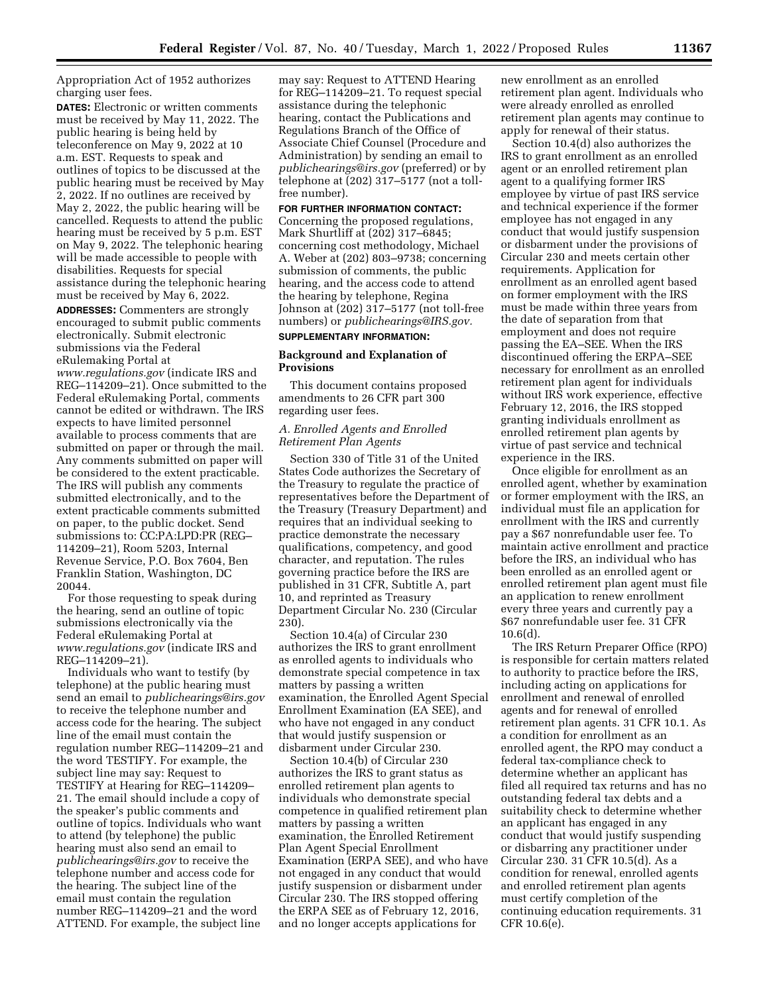Appropriation Act of 1952 authorizes charging user fees.

**DATES:** Electronic or written comments must be received by May 11, 2022. The public hearing is being held by teleconference on May 9, 2022 at 10 a.m. EST. Requests to speak and outlines of topics to be discussed at the public hearing must be received by May 2, 2022. If no outlines are received by May 2, 2022, the public hearing will be cancelled. Requests to attend the public hearing must be received by 5 p.m. EST on May 9, 2022. The telephonic hearing will be made accessible to people with disabilities. Requests for special assistance during the telephonic hearing must be received by May 6, 2022.

**ADDRESSES:** Commenters are strongly encouraged to submit public comments electronically. Submit electronic submissions via the Federal eRulemaking Portal at *[www.regulations.gov](http://www.regulations.gov)* (indicate IRS and REG–114209–21). Once submitted to the Federal eRulemaking Portal, comments cannot be edited or withdrawn. The IRS expects to have limited personnel available to process comments that are submitted on paper or through the mail. Any comments submitted on paper will be considered to the extent practicable. The IRS will publish any comments submitted electronically, and to the extent practicable comments submitted on paper, to the public docket. Send submissions to: CC:PA:LPD:PR (REG– 114209–21), Room 5203, Internal Revenue Service, P.O. Box 7604, Ben Franklin Station, Washington, DC 20044.

For those requesting to speak during the hearing, send an outline of topic submissions electronically via the Federal eRulemaking Portal at *[www.regulations.gov](http://www.regulations.gov)* (indicate IRS and REG–114209–21).

Individuals who want to testify (by telephone) at the public hearing must send an email to *[publichearings@irs.gov](mailto:publichearings@irs.gov)*  to receive the telephone number and access code for the hearing. The subject line of the email must contain the regulation number REG–114209–21 and the word TESTIFY. For example, the subject line may say: Request to TESTIFY at Hearing for REG–114209– 21. The email should include a copy of the speaker's public comments and outline of topics. Individuals who want to attend (by telephone) the public hearing must also send an email to *[publichearings@irs.gov](mailto:publichearings@irs.gov)* to receive the telephone number and access code for the hearing. The subject line of the email must contain the regulation number REG–114209–21 and the word ATTEND. For example, the subject line

may say: Request to ATTEND Hearing for REG–114209–21. To request special assistance during the telephonic hearing, contact the Publications and Regulations Branch of the Office of Associate Chief Counsel (Procedure and Administration) by sending an email to *[publichearings@irs.gov](mailto:publichearings@irs.gov)* (preferred) or by telephone at (202) 317–5177 (not a tollfree number).

#### **FOR FURTHER INFORMATION CONTACT:**

Concerning the proposed regulations, Mark Shurtliff at (202) 317–6845; concerning cost methodology, Michael A. Weber at (202) 803–9738; concerning submission of comments, the public hearing, and the access code to attend the hearing by telephone, Regina Johnson at (202) 317–5177 (not toll-free numbers) or *[publichearings@IRS.gov.](mailto:publichearings@IRS.gov)*  **SUPPLEMENTARY INFORMATION:** 

# **Background and Explanation of**

# **Provisions**  This document contains proposed

amendments to 26 CFR part 300 regarding user fees.

# *A. Enrolled Agents and Enrolled Retirement Plan Agents*

Section 330 of Title 31 of the United States Code authorizes the Secretary of the Treasury to regulate the practice of representatives before the Department of the Treasury (Treasury Department) and requires that an individual seeking to practice demonstrate the necessary qualifications, competency, and good character, and reputation. The rules governing practice before the IRS are published in 31 CFR, Subtitle A, part 10, and reprinted as Treasury Department Circular No. 230 (Circular 230).

Section 10.4(a) of Circular 230 authorizes the IRS to grant enrollment as enrolled agents to individuals who demonstrate special competence in tax matters by passing a written examination, the Enrolled Agent Special Enrollment Examination (EA SEE), and who have not engaged in any conduct that would justify suspension or disbarment under Circular 230.

Section 10.4(b) of Circular 230 authorizes the IRS to grant status as enrolled retirement plan agents to individuals who demonstrate special competence in qualified retirement plan matters by passing a written examination, the Enrolled Retirement Plan Agent Special Enrollment Examination (ERPA SEE), and who have not engaged in any conduct that would justify suspension or disbarment under Circular 230. The IRS stopped offering the ERPA SEE as of February 12, 2016, and no longer accepts applications for

new enrollment as an enrolled retirement plan agent. Individuals who were already enrolled as enrolled retirement plan agents may continue to apply for renewal of their status.

Section 10.4(d) also authorizes the IRS to grant enrollment as an enrolled agent or an enrolled retirement plan agent to a qualifying former IRS employee by virtue of past IRS service and technical experience if the former employee has not engaged in any conduct that would justify suspension or disbarment under the provisions of Circular 230 and meets certain other requirements. Application for enrollment as an enrolled agent based on former employment with the IRS must be made within three years from the date of separation from that employment and does not require passing the EA–SEE. When the IRS discontinued offering the ERPA–SEE necessary for enrollment as an enrolled retirement plan agent for individuals without IRS work experience, effective February 12, 2016, the IRS stopped granting individuals enrollment as enrolled retirement plan agents by virtue of past service and technical experience in the IRS.

Once eligible for enrollment as an enrolled agent, whether by examination or former employment with the IRS, an individual must file an application for enrollment with the IRS and currently pay a \$67 nonrefundable user fee. To maintain active enrollment and practice before the IRS, an individual who has been enrolled as an enrolled agent or enrolled retirement plan agent must file an application to renew enrollment every three years and currently pay a \$67 nonrefundable user fee. 31 CFR 10.6(d).

The IRS Return Preparer Office (RPO) is responsible for certain matters related to authority to practice before the IRS, including acting on applications for enrollment and renewal of enrolled agents and for renewal of enrolled retirement plan agents. 31 CFR 10.1. As a condition for enrollment as an enrolled agent, the RPO may conduct a federal tax-compliance check to determine whether an applicant has filed all required tax returns and has no outstanding federal tax debts and a suitability check to determine whether an applicant has engaged in any conduct that would justify suspending or disbarring any practitioner under Circular 230. 31 CFR 10.5(d). As a condition for renewal, enrolled agents and enrolled retirement plan agents must certify completion of the continuing education requirements. 31 CFR 10.6(e).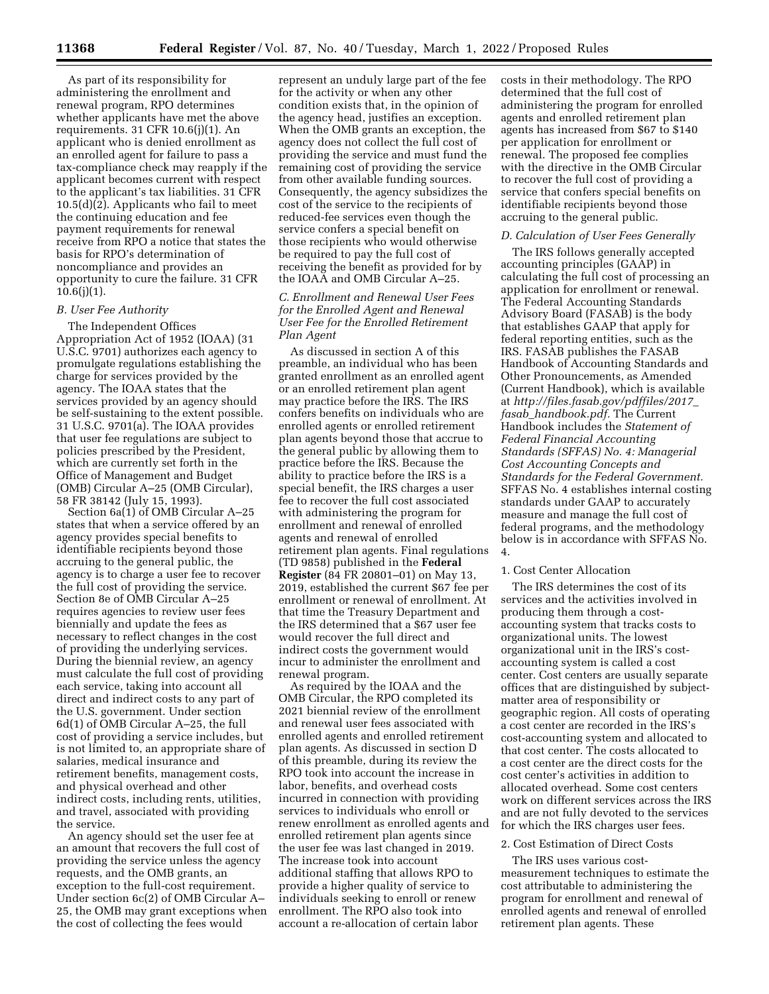As part of its responsibility for administering the enrollment and renewal program, RPO determines whether applicants have met the above requirements. 31 CFR 10.6(j)(1). An applicant who is denied enrollment as an enrolled agent for failure to pass a tax-compliance check may reapply if the applicant becomes current with respect to the applicant's tax liabilities. 31 CFR  $10.5(d)(2)$ . Applicants who fail to meet the continuing education and fee payment requirements for renewal receive from RPO a notice that states the basis for RPO's determination of noncompliance and provides an opportunity to cure the failure. 31 CFR  $10.6(j)(1)$ .

#### *B. User Fee Authority*

The Independent Offices Appropriation Act of 1952 (IOAA) (31 U.S.C. 9701) authorizes each agency to promulgate regulations establishing the charge for services provided by the agency. The IOAA states that the services provided by an agency should be self-sustaining to the extent possible. 31 U.S.C. 9701(a). The IOAA provides that user fee regulations are subject to policies prescribed by the President, which are currently set forth in the Office of Management and Budget (OMB) Circular A–25 (OMB Circular), 58 FR 38142 (July 15, 1993).

Section 6a(1) of OMB Circular A–25 states that when a service offered by an agency provides special benefits to identifiable recipients beyond those accruing to the general public, the agency is to charge a user fee to recover the full cost of providing the service. Section 8e of OMB Circular A–25 requires agencies to review user fees biennially and update the fees as necessary to reflect changes in the cost of providing the underlying services. During the biennial review, an agency must calculate the full cost of providing each service, taking into account all direct and indirect costs to any part of the U.S. government. Under section 6d(1) of OMB Circular A–25, the full cost of providing a service includes, but is not limited to, an appropriate share of salaries, medical insurance and retirement benefits, management costs, and physical overhead and other indirect costs, including rents, utilities, and travel, associated with providing the service.

An agency should set the user fee at an amount that recovers the full cost of providing the service unless the agency requests, and the OMB grants, an exception to the full-cost requirement. Under section 6c(2) of OMB Circular A– 25, the OMB may grant exceptions when the cost of collecting the fees would

represent an unduly large part of the fee for the activity or when any other condition exists that, in the opinion of the agency head, justifies an exception. When the OMB grants an exception, the agency does not collect the full cost of providing the service and must fund the remaining cost of providing the service from other available funding sources. Consequently, the agency subsidizes the cost of the service to the recipients of reduced-fee services even though the service confers a special benefit on those recipients who would otherwise be required to pay the full cost of receiving the benefit as provided for by the IOAA and OMB Circular A–25.

# *C. Enrollment and Renewal User Fees for the Enrolled Agent and Renewal User Fee for the Enrolled Retirement Plan Agent*

As discussed in section A of this preamble, an individual who has been granted enrollment as an enrolled agent or an enrolled retirement plan agent may practice before the IRS. The IRS confers benefits on individuals who are enrolled agents or enrolled retirement plan agents beyond those that accrue to the general public by allowing them to practice before the IRS. Because the ability to practice before the IRS is a special benefit, the IRS charges a user fee to recover the full cost associated with administering the program for enrollment and renewal of enrolled agents and renewal of enrolled retirement plan agents. Final regulations (TD 9858) published in the **Federal Register** (84 FR 20801–01) on May 13, 2019, established the current \$67 fee per enrollment or renewal of enrollment. At that time the Treasury Department and the IRS determined that a \$67 user fee would recover the full direct and indirect costs the government would incur to administer the enrollment and renewal program.

As required by the IOAA and the OMB Circular, the RPO completed its 2021 biennial review of the enrollment and renewal user fees associated with enrolled agents and enrolled retirement plan agents. As discussed in section D of this preamble, during its review the RPO took into account the increase in labor, benefits, and overhead costs incurred in connection with providing services to individuals who enroll or renew enrollment as enrolled agents and enrolled retirement plan agents since the user fee was last changed in 2019. The increase took into account additional staffing that allows RPO to provide a higher quality of service to individuals seeking to enroll or renew enrollment. The RPO also took into account a re-allocation of certain labor

costs in their methodology. The RPO determined that the full cost of administering the program for enrolled agents and enrolled retirement plan agents has increased from \$67 to \$140 per application for enrollment or renewal. The proposed fee complies with the directive in the OMB Circular to recover the full cost of providing a service that confers special benefits on identifiable recipients beyond those accruing to the general public.

#### *D. Calculation of User Fees Generally*

The IRS follows generally accepted accounting principles (GAAP) in calculating the full cost of processing an application for enrollment or renewal. The Federal Accounting Standards Advisory Board (FASAB) is the body that establishes GAAP that apply for federal reporting entities, such as the IRS. FASAB publishes the FASAB Handbook of Accounting Standards and Other Pronouncements, as Amended (Current Handbook), which is available at *[http://files.fasab.gov/pdffiles/2017](http://files.fasab.gov/pdffiles/2017_fasab_handbook.pdf)*\_ *fasab*\_*[handbook.pdf.](http://files.fasab.gov/pdffiles/2017_fasab_handbook.pdf)* The Current Handbook includes the *Statement of Federal Financial Accounting Standards (SFFAS) No. 4: Managerial Cost Accounting Concepts and Standards for the Federal Government.*  SFFAS No. 4 establishes internal costing standards under GAAP to accurately measure and manage the full cost of federal programs, and the methodology below is in accordance with SFFAS No. 4.

#### 1. Cost Center Allocation

The IRS determines the cost of its services and the activities involved in producing them through a costaccounting system that tracks costs to organizational units. The lowest organizational unit in the IRS's costaccounting system is called a cost center. Cost centers are usually separate offices that are distinguished by subjectmatter area of responsibility or geographic region. All costs of operating a cost center are recorded in the IRS's cost-accounting system and allocated to that cost center. The costs allocated to a cost center are the direct costs for the cost center's activities in addition to allocated overhead. Some cost centers work on different services across the IRS and are not fully devoted to the services for which the IRS charges user fees.

## 2. Cost Estimation of Direct Costs

The IRS uses various costmeasurement techniques to estimate the cost attributable to administering the program for enrollment and renewal of enrolled agents and renewal of enrolled retirement plan agents. These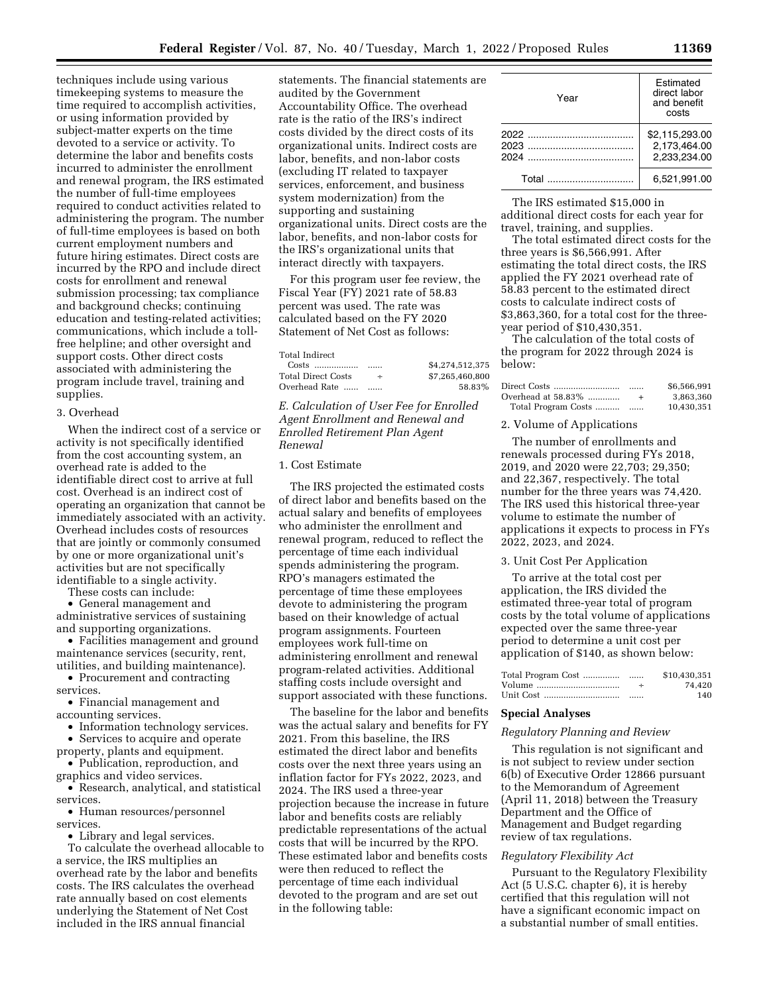techniques include using various timekeeping systems to measure the time required to accomplish activities, or using information provided by subject-matter experts on the time devoted to a service or activity. To determine the labor and benefits costs incurred to administer the enrollment and renewal program, the IRS estimated the number of full-time employees required to conduct activities related to administering the program. The number of full-time employees is based on both current employment numbers and future hiring estimates. Direct costs are incurred by the RPO and include direct costs for enrollment and renewal submission processing; tax compliance and background checks; continuing education and testing-related activities; communications, which include a tollfree helpline; and other oversight and support costs. Other direct costs associated with administering the program include travel, training and supplies.

#### 3. Overhead

When the indirect cost of a service or activity is not specifically identified from the cost accounting system, an overhead rate is added to the identifiable direct cost to arrive at full cost. Overhead is an indirect cost of operating an organization that cannot be immediately associated with an activity. Overhead includes costs of resources that are jointly or commonly consumed by one or more organizational unit's activities but are not specifically identifiable to a single activity.

These costs can include:

• General management and administrative services of sustaining and supporting organizations.

• Facilities management and ground maintenance services (security, rent, utilities, and building maintenance).

• Procurement and contracting services.

• Financial management and accounting services.

• Information technology services.

• Services to acquire and operate

property, plants and equipment. • Publication, reproduction, and graphics and video services.

• Research, analytical, and statistical services.

• Human resources/personnel services.

• Library and legal services.

To calculate the overhead allocable to a service, the IRS multiplies an overhead rate by the labor and benefits costs. The IRS calculates the overhead rate annually based on cost elements underlying the Statement of Net Cost included in the IRS annual financial

statements. The financial statements are audited by the Government Accountability Office. The overhead rate is the ratio of the IRS's indirect costs divided by the direct costs of its organizational units. Indirect costs are labor, benefits, and non-labor costs (excluding IT related to taxpayer services, enforcement, and business system modernization) from the supporting and sustaining organizational units. Direct costs are the labor, benefits, and non-labor costs for the IRS's organizational units that interact directly with taxpayers.

For this program user fee review, the Fiscal Year (FY) 2021 rate of 58.83 percent was used. The rate was calculated based on the FY 2020 Statement of Net Cost as follows:

Total Indirect

Costs .................. ...... \$4,274,512,375 Total Direct Costs  $\div$  \$7,265,460,800 Overhead Rate ...... ...... 58.83%

*E. Calculation of User Fee for Enrolled Agent Enrollment and Renewal and Enrolled Retirement Plan Agent Renewal* 

# 1. Cost Estimate

The IRS projected the estimated costs of direct labor and benefits based on the actual salary and benefits of employees who administer the enrollment and renewal program, reduced to reflect the percentage of time each individual spends administering the program. RPO's managers estimated the percentage of time these employees devote to administering the program based on their knowledge of actual program assignments. Fourteen employees work full-time on administering enrollment and renewal program-related activities. Additional staffing costs include oversight and support associated with these functions.

The baseline for the labor and benefits was the actual salary and benefits for FY 2021. From this baseline, the IRS estimated the direct labor and benefits costs over the next three years using an inflation factor for FYs 2022, 2023, and 2024. The IRS used a three-year projection because the increase in future labor and benefits costs are reliably predictable representations of the actual costs that will be incurred by the RPO. These estimated labor and benefits costs were then reduced to reflect the percentage of time each individual devoted to the program and are set out in the following table:

| Year  | Estimated<br>direct labor<br>and benefit<br>costs |  |  |
|-------|---------------------------------------------------|--|--|
| 2024  | \$2,115,293.00<br>2.173.464.00<br>2.233.234.00    |  |  |
| Total | 6,521,991.00                                      |  |  |

The IRS estimated \$15,000 in additional direct costs for each year for travel, training, and supplies.

The total estimated direct costs for the three years is \$6,566,991. After estimating the total direct costs, the IRS applied the FY 2021 overhead rate of 58.83 percent to the estimated direct costs to calculate indirect costs of \$3,863,360, for a total cost for the threeyear period of \$10,430,351.

The calculation of the total costs of the program for 2022 through 2024 is below:

|                     |     | \$6,566,991 |
|---------------------|-----|-------------|
| Overhead at 58.83%  | $+$ | 3.863.360   |
| Total Program Costs |     | 10.430.351  |

#### 2. Volume of Applications

The number of enrollments and renewals processed during FYs 2018, 2019, and 2020 were 22,703; 29,350; and 22,367, respectively. The total number for the three years was 74,420. The IRS used this historical three-year volume to estimate the number of applications it expects to process in FYs 2022, 2023, and 2024.

#### 3. Unit Cost Per Application

To arrive at the total cost per application, the IRS divided the estimated three-year total of program costs by the total volume of applications expected over the same three-year period to determine a unit cost per application of \$140, as shown below:

|           |        | \$10,430,351 |
|-----------|--------|--------------|
| Volume    | $\div$ | 74.420       |
| Unit Cost |        | 140          |

#### **Special Analyses**

#### *Regulatory Planning and Review*

This regulation is not significant and is not subject to review under section 6(b) of Executive Order 12866 pursuant to the Memorandum of Agreement (April 11, 2018) between the Treasury Department and the Office of Management and Budget regarding review of tax regulations.

#### *Regulatory Flexibility Act*

Pursuant to the Regulatory Flexibility Act (5 U.S.C. chapter 6), it is hereby certified that this regulation will not have a significant economic impact on a substantial number of small entities.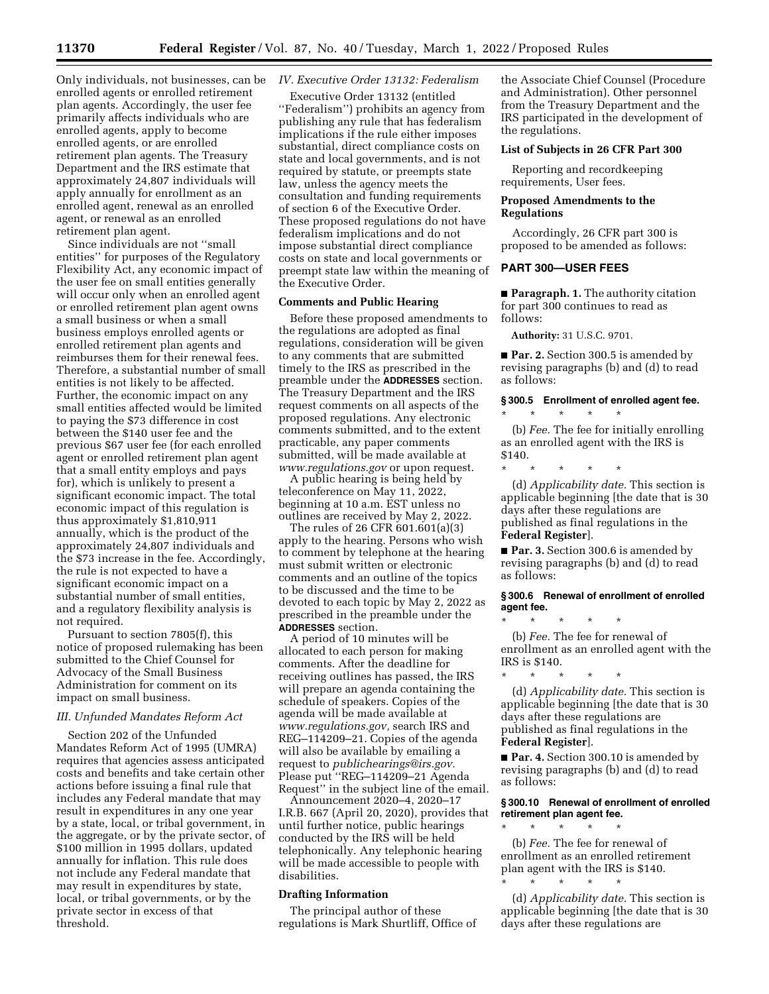Only individuals, not businesses, can be enrolled agents or enrolled retirement plan agents. Accordingly, the user fee primarily affects individuals who are enrolled agents, apply to become enrolled agents, or are enrolled retirement plan agents. The Treasury Department and the IRS estimate that approximately 24,807 individuals will apply annually for enrollment as an enrolled agent, renewal as an enrolled agent, or renewal as an enrolled retirement plan agent.

Since individuals are not ''small entities'' for purposes of the Regulatory Flexibility Act, any economic impact of the user fee on small entities generally will occur only when an enrolled agent or enrolled retirement plan agent owns a small business or when a small business employs enrolled agents or enrolled retirement plan agents and reimburses them for their renewal fees. Therefore, a substantial number of small entities is not likely to be affected. Further, the economic impact on any small entities affected would be limited to paying the \$73 difference in cost between the \$140 user fee and the previous \$67 user fee (for each enrolled agent or enrolled retirement plan agent that a small entity employs and pays for), which is unlikely to present a significant economic impact. The total economic impact of this regulation is thus approximately \$1,810,911 annually, which is the product of the approximately 24,807 individuals and the \$73 increase in the fee. Accordingly, the rule is not expected to have a significant economic impact on a substantial number of small entities, and a regulatory flexibility analysis is not required.

Pursuant to section 7805(f), this notice of proposed rulemaking has been submitted to the Chief Counsel for Advocacy of the Small Business Administration for comment on its impact on small business.

#### *III. Unfunded Mandates Reform Act*

Section 202 of the Unfunded Mandates Reform Act of 1995 (UMRA) requires that agencies assess anticipated costs and benefits and take certain other actions before issuing a final rule that includes any Federal mandate that may result in expenditures in any one year by a state, local, or tribal government, in the aggregate, or by the private sector, of \$100 million in 1995 dollars, updated annually for inflation. This rule does not include any Federal mandate that may result in expenditures by state, local, or tribal governments, or by the private sector in excess of that threshold.

# *IV. Executive Order 13132: Federalism*

Executive Order 13132 (entitled ''Federalism'') prohibits an agency from publishing any rule that has federalism implications if the rule either imposes substantial, direct compliance costs on state and local governments, and is not required by statute, or preempts state law, unless the agency meets the consultation and funding requirements of section 6 of the Executive Order. These proposed regulations do not have federalism implications and do not impose substantial direct compliance costs on state and local governments or preempt state law within the meaning of the Executive Order.

# **Comments and Public Hearing**

Before these proposed amendments to the regulations are adopted as final regulations, consideration will be given to any comments that are submitted timely to the IRS as prescribed in the preamble under the **ADDRESSES** section. The Treasury Department and the IRS request comments on all aspects of the proposed regulations. Any electronic comments submitted, and to the extent practicable, any paper comments submitted, will be made available at *[www.regulations.gov](http://www.regulations.gov)* or upon request.

A public hearing is being held by teleconference on May 11, 2022, beginning at 10 a.m. EST unless no outlines are received by May 2, 2022.

The rules of 26 CFR 601.601(a)(3) apply to the hearing. Persons who wish to comment by telephone at the hearing must submit written or electronic comments and an outline of the topics to be discussed and the time to be devoted to each topic by May 2, 2022 as prescribed in the preamble under the **ADDRESSES** section.

A period of 10 minutes will be allocated to each person for making comments. After the deadline for receiving outlines has passed, the IRS will prepare an agenda containing the schedule of speakers. Copies of the agenda will be made available at *[www.regulations.gov,](http://www.regulations.gov)* search IRS and REG–114209–21. Copies of the agenda will also be available by emailing a request to *[publichearings@irs.gov.](mailto:publichearings@irs.gov)*  Please put ''REG–114209–21 Agenda Request'' in the subject line of the email.

Announcement 2020–4, 2020–17 I.R.B. 667 (April 20, 2020), provides that until further notice, public hearings conducted by the IRS will be held telephonically. Any telephonic hearing will be made accessible to people with disabilities.

### **Drafting Information**

The principal author of these regulations is Mark Shurtliff, Office of

the Associate Chief Counsel (Procedure and Administration). Other personnel from the Treasury Department and the IRS participated in the development of the regulations.

#### **List of Subjects in 26 CFR Part 300**

Reporting and recordkeeping requirements, User fees.

# **Proposed Amendments to the Regulations**

Accordingly, 26 CFR part 300 is proposed to be amended as follows:

## **PART 300—USER FEES**

■ **Paragraph. 1.** The authority citation for part 300 continues to read as follows:

**Authority:** 31 U.S.C. 9701.

■ **Par. 2.** Section 300.5 is amended by revising paragraphs (b) and (d) to read as follows:

# **§ 300.5 Enrollment of enrolled agent fee.**  \* \* \* \* \*

(b) *Fee.* The fee for initially enrolling as an enrolled agent with the IRS is \$140.

\* \* \* \* \*

(d) *Applicability date.* This section is applicable beginning [the date that is 30 days after these regulations are published as final regulations in the **Federal Register**].

■ **Par. 3.** Section 300.6 is amended by revising paragraphs (b) and (d) to read as follows:

#### **§ 300.6 Renewal of enrollment of enrolled agent fee.**

\* \* \* \* \*

(b) *Fee.* The fee for renewal of enrollment as an enrolled agent with the IRS is \$140.

\* \* \* \* \* (d) *Applicability date.* This section is applicable beginning [the date that is 30 days after these regulations are published as final regulations in the **Federal Register**].

■ **Par. 4.** Section 300.10 is amended by revising paragraphs (b) and (d) to read as follows:

#### **§ 300.10 Renewal of enrollment of enrolled retirement plan agent fee.**  \* \* \* \* \*

(b) *Fee.* The fee for renewal of enrollment as an enrolled retirement plan agent with the IRS is \$140. \* \* \* \* \*

(d) *Applicability date.* This section is applicable beginning [the date that is 30 days after these regulations are